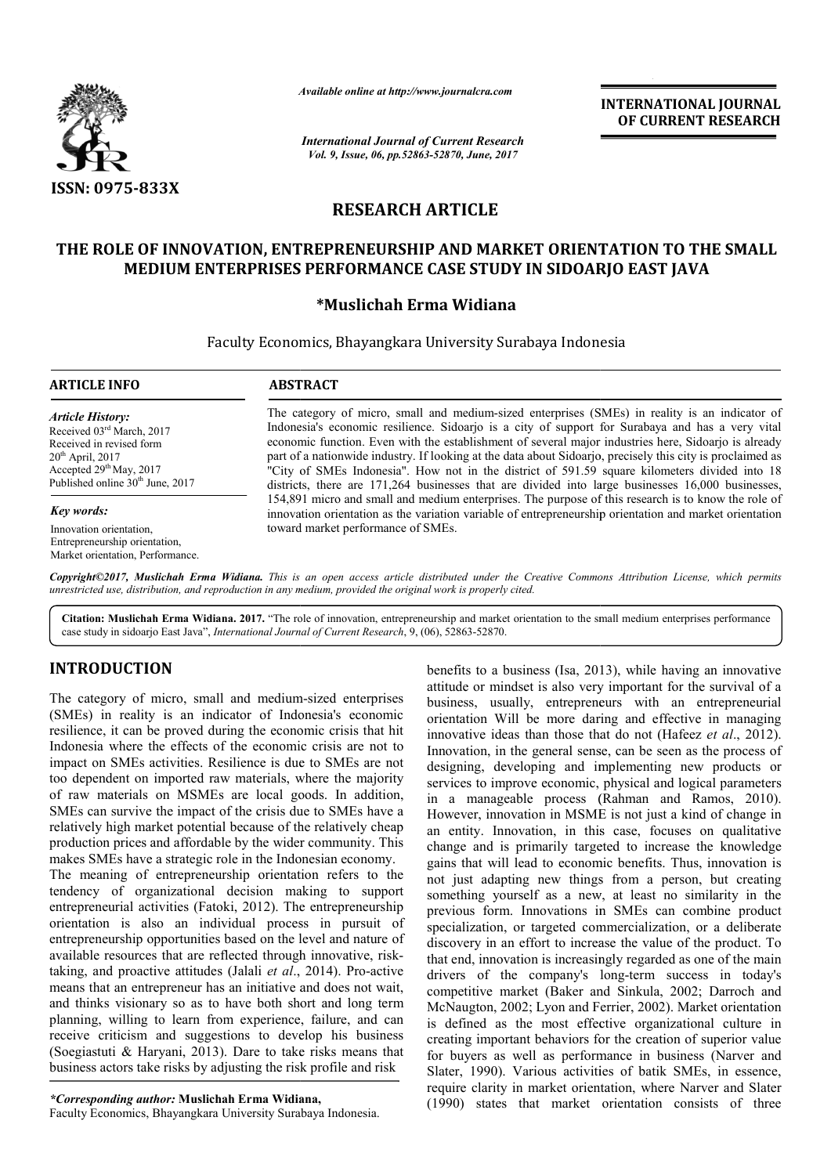

*Available online at http://www.journal http://www.journalcra.com*

*International Journal of Current Research Vol. 9, Issue, 06, pp.52863-52870, June, 2017*

**INTERNATIONAL JOURNAL OF CURRENT RESEARCH** 

# **RESEARCH ARTICLE**

# **THE ROLE OF INNOVATION, ENTREPRENEURSHIP AND MARKET ORIENTATION TO THE SMALL**  MEDIUM ENTERPRISES PERFORMANCE CASE STUDY IN SIDOARJO EAST JAVA

## **\*Muslichah Erma Widiana**

Faculty Economics, Bhayangkara University Surabaya Indonesia

# **ARTICLE INFO ABSTRACT**

*Article History:* Received 03rd March, 2017 Received in revised form  $20<sup>th</sup>$  April,  $2017$ Accepted 29<sup>th</sup> May, 2017 Published online  $30<sup>th</sup>$  June, 2017

#### *Key words:*

Innovation orientation, Entrepreneurship orientation, Market orientation, Performance.

The category of micro, small and medium medium-sized enterprises (SMEs) in reality is an indicator of Indonesia's economic resilience. Sidoarjo is a city of support for Surabaya and has a very vital economic function. Even with the establishment of several major industries here, Sidoarjo is already part of a nationwide industry. If looking at the data about Sidoarjo, precisely this city is proclaimed as "City of SMEs Indonesia". How not in the district of 591.59 square kilometers divided into 18 districts, there are 171,264 businesses that are divided into large businesses 16,000 businesses, 154,891 micro and small and medium enterprises. The purpose of this research is to know the role of innovation orientation as the variation variable of entrepreneurship orientation and market orientation toward market performance of SMEs. The category of micro, small and medium-sized enterprises (SMEs) in reality is an indicator of Indonesia's economic resilience. Sidoarjo is a city of support for Surabaya and has a very vital economic function. Even with t part of a nationwide industry. If looking at the data about Sidoarjo, precisely this city is proclaimed as "City of SMEs Indonesia". How not in the district of 591.59 square kilometers divided into 18 districts, there are

Copyright©2017, Muslichah Erma Widiana. This is an open access article distributed under the Creative Commons Attribution License, which permits *unrestricted use, distribution, and reproduction in any medium, provided the original work is properly cited.*

Citation: Muslichah Erma Widiana. 2017. "The role of innovation, entrepreneurship and market orientation to the small medium enterprises performance **Citation: Muslichah Erma Widiana. 2017.** "The role of innovation, entrepreneurship and marke case study in sidoarjo East Java", *International Journal of Current Research*, 9, (06), 52863-52870.

# **INTRODUCTION**

The category of micro, small and medium-sized enterprises (SMEs) in reality is an indicator of Indonesia's economic resilience, it can be proved during the economic crisis that hit Indonesia where the effects of the economic crisis are not to impact on SMEs activities. Resilience is due to SMEs are not too dependent on imported raw materials, where the majority of raw materials on MSMEs are local goods. In addition, SMEs can survive the impact of the crisis due to SMEs have a impact on SMEs activities. Resilience is due to SMEs are not<br>too dependent on imported raw materials, where the majority<br>of raw materials on MSMEs are local goods. In addition,<br>SMEs can survive the impact of the crisis due production prices and affordable by the wider community. This makes SMEs have a strategic role in the Indonesian economy. The meaning of entrepreneurship orientation refers to the tendency of organizational decision making to support entrepreneurial activities (Fatoki, 2012). The entrepreneurship orientation is also an individual process in pursuit of entrepreneurship opportunities based on the level and nature of available resources that are reflected through innovative, risktaking, and proactive attitudes (Jalali *et al.*, 2014). Pro-active means that an entrepreneur has an initiative and does not wait, and thinks visionary so as to have both short and long term planning, willing to learn from experience, failure, and can receive criticism and suggestions to develop his business (Soegiastuti & Haryani, 2013). Dare to take risks means that

*\*Corresponding author:* **Muslichah Erma Widiana Widiana,**

Faculty Economics, Bhayangkara University Surabaya Indonesia Indonesia.

business actors take risks by adjusting the risk profile and risk

benefits to a business (Isa, 2013), while having an innovative attitude or mindset is also very important for the survival of a business, usually, entrepreneurs with an entrepreneurial benefits to a business (Isa, 2013), while having an innovative attitude or mindset is also very important for the survival of a business, usually, entrepreneurs with an entrepreneurial orientation Will be more daring and e innovative ideas than those that do not (Hafeez *et al*., 2012). Innovation, in the general sense, can be seen as the process of designing, developing and implementing new products or services to improve economic, physical and logical parameters in a manageable process (Rahman and Ramos, 2010). However, innovation in MSME is not just a kind of change in in a manageable process (Rahman and Ramos, 2010).<br>However, innovation in MSME is not just a kind of change in<br>an entity. Innovation, in this case, focuses on qualitative change and is primarily targeted to increase the knowledge gains that will lead to economic benefits. Thus, innovation is not just adapting new things from a person, but creating something yourself as a new, at least no similarity in the previous form. Innovations in SMEs can combine product specialization, or targeted commercialization, or a deliberate discovery in an effort to increase the value of the product. To that end, innovation is increasingly regarded as one of the main drivers of the company's long-term success in today's competitive market (Baker and Sinkula, 2002; Darroch and McNaugton, 2002; Lyon and Ferrier, 2002). Market orientation is defined as the most effective organizational culture in creating important behaviors for the creation of superior value for buyers as well as performance in business (Narver a Slater, 1990). Various activities of batik SMEs, in essence, require clarity in market orientation, where Narver and Slater (1990) states that market orientation consists of three and is primarily targeted to increase the knowledge at will lead to economic benefits. Thus, innovation is a dapting new things from a person, but creating may yourself as a new, at least no similarity in the increasion, o the most effective organizational culture in<br>ant behaviors for the creation of superior value<br>well as performance in business (Narver and **INTERNATIONAL JOURNAL**<br> **OF CURRENT RESEARCH**<br> **OF CURRENT RESEARCH**<br> **OF CURRENT ATION TO THE SMALL**<br> **OF CURRENT ATION TO THE SMALL**<br> **And a** Indices (SMEs) in reality is an indicator of the support for Surabaya and ha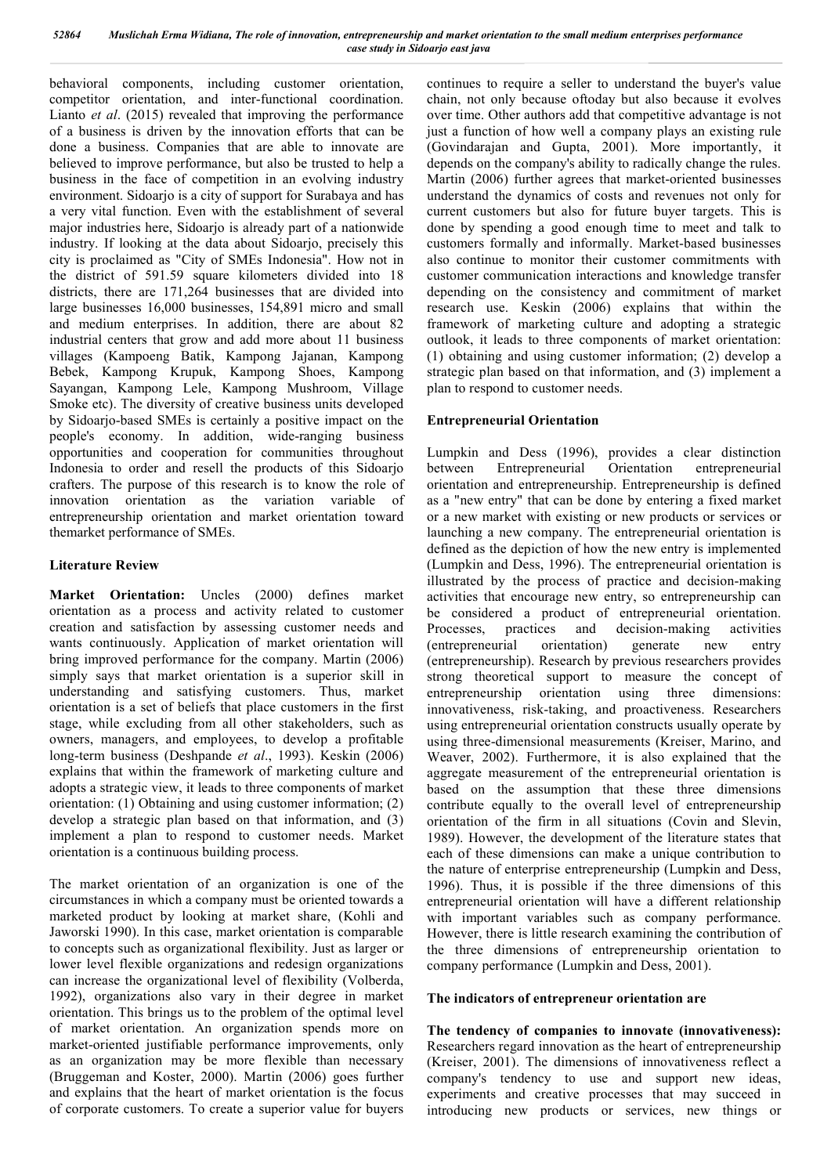behavioral components, including customer orientation, competitor orientation, and inter-functional coordination. Lianto *et al*. (2015) revealed that improving the performance of a business is driven by the innovation efforts that can be done a business. Companies that are able to innovate are believed to improve performance, but also be trusted to help a business in the face of competition in an evolving industry environment. Sidoario is a city of support for Surabaya and has a very vital function. Even with the establishment of several major industries here, Sidoarjo is already part of a nationwide industry. If looking at the data about Sidoarjo, precisely this city is proclaimed as "City of SMEs Indonesia". How not in the district of 591.59 square kilometers divided into 18 districts, there are 171,264 businesses that are divided into large businesses 16,000 businesses, 154,891 micro and small and medium enterprises. In addition, there are about 82 industrial centers that grow and add more about 11 business villages (Kampoeng Batik, Kampong Jajanan, Kampong Bebek, Kampong Krupuk, Kampong Shoes, Kampong Sayangan, Kampong Lele, Kampong Mushroom, Village Smoke etc). The diversity of creative business units developed by Sidoarjo-based SMEs is certainly a positive impact on the people's economy. In addition, wide-ranging business opportunities and cooperation for communities throughout Indonesia to order and resell the products of this Sidoarjo crafters. The purpose of this research is to know the role of innovation orientation as the variation variable of entrepreneurship orientation and market orientation toward themarket performance of SMEs.

## **Literature Review**

Market Orientation: Uncles (2000) defines market orientation as a process and activity related to customer creation and satisfaction by assessing customer needs and wants continuously. Application of market orientation will bring improved performance for the company. Martin (2006) simply says that market orientation is a superior skill in understanding and satisfying customers. Thus, market orientation is a set of beliefs that place customers in the first stage, while excluding from all other stakeholders, such as owners, managers, and employees, to develop a profitable long-term business (Deshpande *et al*., 1993). Keskin (2006) explains that within the framework of marketing culture and adopts a strategic view, it leads to three components of market orientation: (1) Obtaining and using customer information; (2) develop a strategic plan based on that information, and (3) implement a plan to respond to customer needs. Market orientation is a continuous building process.

The market orientation of an organization is one of the circumstances in which a company must be oriented towards a marketed product by looking at market share, (Kohli and Jaworski 1990). In this case, market orientation is comparable to concepts such as organizational flexibility. Just as larger or lower level flexible organizations and redesign organizations can increase the organizational level of flexibility (Volberda, 1992), organizations also vary in their degree in market orientation. This brings us to the problem of the optimal level of market orientation. An organization spends more on market-oriented justifiable performance improvements, only as an organization may be more flexible than necessary (Bruggeman and Koster, 2000). Martin (2006) goes further and explains that the heart of market orientation is the focus of corporate customers. To create a superior value for buyers

continues to require a seller to understand the buyer's value chain, not only because oftoday but also because it evolves over time. Other authors add that competitive advantage is not just a function of how well a company plays an existing rule (Govindarajan and Gupta, 2001). More importantly, it depends on the company's ability to radically change the rules. Martin (2006) further agrees that market-oriented businesses understand the dynamics of costs and revenues not only for current customers but also for future buyer targets. This is done by spending a good enough time to meet and talk to customers formally and informally. Market-based businesses also continue to monitor their customer commitments with customer communication interactions and knowledge transfer depending on the consistency and commitment of market research use. Keskin (2006) explains that within the framework of marketing culture and adopting a strategic outlook, it leads to three components of market orientation: (1) obtaining and using customer information; (2) develop a strategic plan based on that information, and (3) implement a plan to respond to customer needs.

## **Entrepreneurial Orientation**

Lumpkin and Dess (1996), provides a clear distinction between Entrepreneurial Orientation entrepreneurial orientation and entrepreneurship. Entrepreneurship is defined as a "new entry" that can be done by entering a fixed market or a new market with existing or new products or services or launching a new company. The entrepreneurial orientation is defined as the depiction of how the new entry is implemented (Lumpkin and Dess, 1996). The entrepreneurial orientation is illustrated by the process of practice and decision-making activities that encourage new entry, so entrepreneurship can be considered a product of entrepreneurial orientation.<br>Processes, practices and decision-making activities Processes, practices and decision-making activities (entrepreneurial orientation) generate new entry (entrepreneurship). Research by previous researchers provides strong theoretical support to measure the concept of entrepreneurship orientation using three dimensions: innovativeness, risk-taking, and proactiveness. Researchers using entrepreneurial orientation constructs usually operate by using three-dimensional measurements (Kreiser, Marino, and Weaver, 2002). Furthermore, it is also explained that the aggregate measurement of the entrepreneurial orientation is based on the assumption that these three dimensions contribute equally to the overall level of entrepreneurship orientation of the firm in all situations (Covin and Slevin, 1989). However, the development of the literature states that each of these dimensions can make a unique contribution to the nature of enterprise entrepreneurship (Lumpkin and Dess, 1996). Thus, it is possible if the three dimensions of this entrepreneurial orientation will have a different relationship with important variables such as company performance. However, there is little research examining the contribution of the three dimensions of entrepreneurship orientation to company performance (Lumpkin and Dess, 2001).

## **The indicators of entrepreneur orientation are**

**The tendency of companies to innovate (innovativeness):**  Researchers regard innovation as the heart of entrepreneurship (Kreiser, 2001). The dimensions of innovativeness reflect a company's tendency to use and support new ideas, experiments and creative processes that may succeed in introducing new products or services, new things or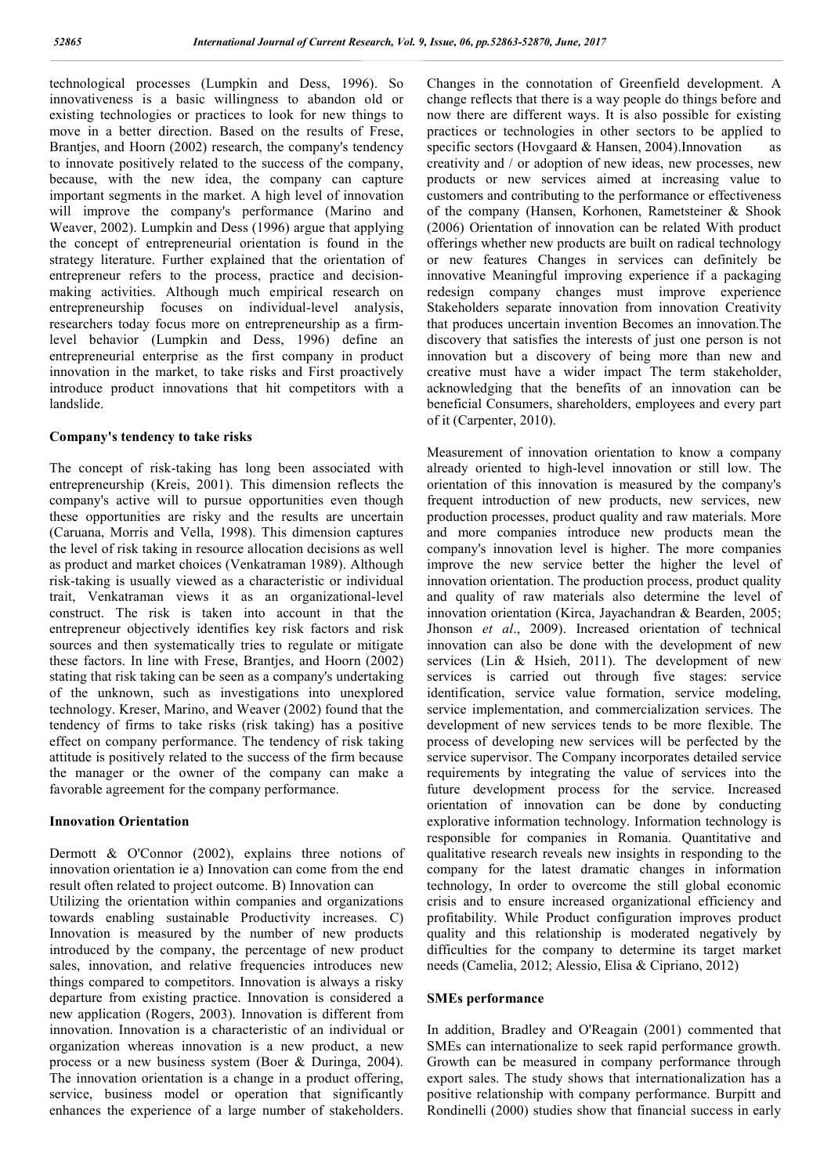technological processes (Lumpkin and Dess, 1996). So innovativeness is a basic willingness to abandon old or existing technologies or practices to look for new things to move in a better direction. Based on the results of Frese, Branties, and Hoorn (2002) research, the company's tendency to innovate positively related to the success of the company, because, with the new idea, the company can capture important segments in the market. A high level of innovation will improve the company's performance (Marino and Weaver, 2002). Lumpkin and Dess (1996) argue that applying the concept of entrepreneurial orientation is found in the strategy literature. Further explained that the orientation of entrepreneur refers to the process, practice and decisionmaking activities. Although much empirical research on entrepreneurship focuses on individual-level analysis, researchers today focus more on entrepreneurship as a firmlevel behavior (Lumpkin and Dess, 1996) define an entrepreneurial enterprise as the first company in product innovation in the market, to take risks and First proactively introduce product innovations that hit competitors with a landslide.

#### **Company's tendency to take risks**

The concept of risk-taking has long been associated with entrepreneurship (Kreis, 2001). This dimension reflects the company's active will to pursue opportunities even though these opportunities are risky and the results are uncertain (Caruana, Morris and Vella, 1998). This dimension captures the level of risk taking in resource allocation decisions as well as product and market choices (Venkatraman 1989). Although risk-taking is usually viewed as a characteristic or individual trait, Venkatraman views it as an organizational-level construct. The risk is taken into account in that the entrepreneur objectively identifies key risk factors and risk sources and then systematically tries to regulate or mitigate these factors. In line with Frese, Brantjes, and Hoorn (2002) stating that risk taking can be seen as a company's undertaking of the unknown, such as investigations into unexplored technology. Kreser, Marino, and Weaver (2002) found that the tendency of firms to take risks (risk taking) has a positive effect on company performance. The tendency of risk taking attitude is positively related to the success of the firm because the manager or the owner of the company can make a favorable agreement for the company performance.

#### **Innovation Orientation**

Dermott & O'Connor (2002), explains three notions of innovation orientation ie a) Innovation can come from the end result often related to project outcome. B) Innovation can Utilizing the orientation within companies and organizations

towards enabling sustainable Productivity increases. C) Innovation is measured by the number of new products introduced by the company, the percentage of new product sales, innovation, and relative frequencies introduces new things compared to competitors. Innovation is always a risky departure from existing practice. Innovation is considered a new application (Rogers, 2003). Innovation is different from innovation. Innovation is a characteristic of an individual or organization whereas innovation is a new product, a new process or a new business system (Boer & Duringa, 2004). The innovation orientation is a change in a product offering, service, business model or operation that significantly enhances the experience of a large number of stakeholders.

Changes in the connotation of Greenfield development. A change reflects that there is a way people do things before and now there are different ways. It is also possible for existing practices or technologies in other sectors to be applied to specific sectors (Hovgaard & Hansen, 2004). Innovation as creativity and / or adoption of new ideas, new processes, new products or new services aimed at increasing value to customers and contributing to the performance or effectiveness of the company (Hansen, Korhonen, Rametsteiner & Shook (2006) Orientation of innovation can be related With product offerings whether new products are built on radical technology or new features Changes in services can definitely be innovative Meaningful improving experience if a packaging redesign company changes must improve experience Stakeholders separate innovation from innovation Creativity that produces uncertain invention Becomes an innovation.The discovery that satisfies the interests of just one person is not innovation but a discovery of being more than new and creative must have a wider impact The term stakeholder, acknowledging that the benefits of an innovation can be beneficial Consumers, shareholders, employees and every part of it (Carpenter, 2010).

Measurement of innovation orientation to know a company already oriented to high-level innovation or still low. The orientation of this innovation is measured by the company's frequent introduction of new products, new services, new production processes, product quality and raw materials. More and more companies introduce new products mean the company's innovation level is higher. The more companies improve the new service better the higher the level of innovation orientation. The production process, product quality and quality of raw materials also determine the level of innovation orientation (Kirca, Jayachandran & Bearden, 2005; Jhonson *et al*., 2009). Increased orientation of technical innovation can also be done with the development of new services (Lin & Hsieh, 2011). The development of new services is carried out through five stages: service identification, service value formation, service modeling, service implementation, and commercialization services. The development of new services tends to be more flexible. The process of developing new services will be perfected by the service supervisor. The Company incorporates detailed service requirements by integrating the value of services into the future development process for the service. Increased orientation of innovation can be done by conducting explorative information technology. Information technology is responsible for companies in Romania. Quantitative and qualitative research reveals new insights in responding to the company for the latest dramatic changes in information technology, In order to overcome the still global economic crisis and to ensure increased organizational efficiency and profitability. While Product configuration improves product quality and this relationship is moderated negatively by difficulties for the company to determine its target market needs (Camelia, 2012; Alessio, Elisa & Cipriano, 2012)

#### **SMEs performance**

In addition, Bradley and O'Reagain (2001) commented that SMEs can internationalize to seek rapid performance growth. Growth can be measured in company performance through export sales. The study shows that internationalization has a positive relationship with company performance. Burpitt and Rondinelli (2000) studies show that financial success in early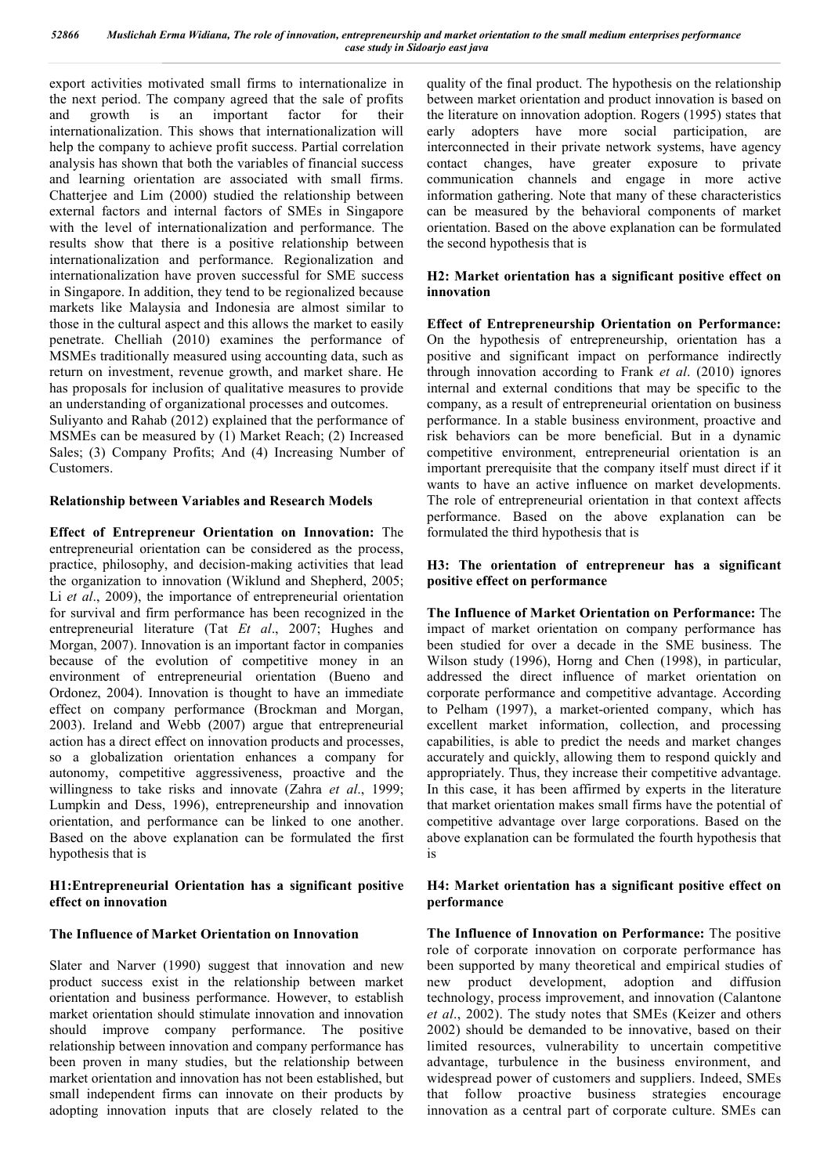export activities motivated small firms to internationalize in the next period. The company agreed that the sale of profits and growth is an important factor for their internationalization. This shows that internationalization will help the company to achieve profit success. Partial correlation analysis has shown that both the variables of financial success and learning orientation are associated with small firms. Chatterjee and Lim (2000) studied the relationship between external factors and internal factors of SMEs in Singapore with the level of internationalization and performance. The results show that there is a positive relationship between internationalization and performance. Regionalization and internationalization have proven successful for SME success in Singapore. In addition, they tend to be regionalized because markets like Malaysia and Indonesia are almost similar to those in the cultural aspect and this allows the market to easily penetrate. Chelliah (2010) examines the performance of MSMEs traditionally measured using accounting data, such as return on investment, revenue growth, and market share. He has proposals for inclusion of qualitative measures to provide an understanding of organizational processes and outcomes.

Suliyanto and Rahab (2012) explained that the performance of MSMEs can be measured by (1) Market Reach; (2) Increased Sales; (3) Company Profits; And (4) Increasing Number of Customers.

## **Relationship between Variables and Research Models**

**Effect of Entrepreneur Orientation on Innovation:** The entrepreneurial orientation can be considered as the process, practice, philosophy, and decision-making activities that lead the organization to innovation (Wiklund and Shepherd, 2005; Li *et al*., 2009), the importance of entrepreneurial orientation for survival and firm performance has been recognized in the entrepreneurial literature (Tat *Et al*., 2007; Hughes and Morgan, 2007). Innovation is an important factor in companies because of the evolution of competitive money in an environment of entrepreneurial orientation (Bueno and Ordonez, 2004). Innovation is thought to have an immediate effect on company performance (Brockman and Morgan, 2003). Ireland and Webb (2007) argue that entrepreneurial action has a direct effect on innovation products and processes, so a globalization orientation enhances a company for autonomy, competitive aggressiveness, proactive and the willingness to take risks and innovate (Zahra *et al*., 1999; Lumpkin and Dess, 1996), entrepreneurship and innovation orientation, and performance can be linked to one another. Based on the above explanation can be formulated the first hypothesis that is

#### **H1:Entrepreneurial Orientation has a significant positive effect on innovation**

## **The Influence of Market Orientation on Innovation**

Slater and Narver (1990) suggest that innovation and new product success exist in the relationship between market orientation and business performance. However, to establish market orientation should stimulate innovation and innovation should improve company performance. The positive relationship between innovation and company performance has been proven in many studies, but the relationship between market orientation and innovation has not been established, but small independent firms can innovate on their products by adopting innovation inputs that are closely related to the

quality of the final product. The hypothesis on the relationship between market orientation and product innovation is based on the literature on innovation adoption. Rogers (1995) states that early adopters have more social participation, are interconnected in their private network systems, have agency contact changes, have greater exposure to private communication channels and engage in more active information gathering. Note that many of these characteristics can be measured by the behavioral components of market orientation. Based on the above explanation can be formulated the second hypothesis that is

## **H2: Market orientation has a significant positive effect on innovation**

**Effect of Entrepreneurship Orientation on Performance:**  On the hypothesis of entrepreneurship, orientation has a positive and significant impact on performance indirectly through innovation according to Frank *et al*. (2010) ignores internal and external conditions that may be specific to the company, as a result of entrepreneurial orientation on business performance. In a stable business environment, proactive and risk behaviors can be more beneficial. But in a dynamic competitive environment, entrepreneurial orientation is an important prerequisite that the company itself must direct if it wants to have an active influence on market developments. The role of entrepreneurial orientation in that context affects performance. Based on the above explanation can be formulated the third hypothesis that is

#### **H3: The orientation of entrepreneur has a significant positive effect on performance**

**The Influence of Market Orientation on Performance:** The impact of market orientation on company performance has been studied for over a decade in the SME business. The Wilson study (1996), Horng and Chen (1998), in particular, addressed the direct influence of market orientation on corporate performance and competitive advantage. According to Pelham (1997), a market-oriented company, which has excellent market information, collection, and processing capabilities, is able to predict the needs and market changes accurately and quickly, allowing them to respond quickly and appropriately. Thus, they increase their competitive advantage. In this case, it has been affirmed by experts in the literature that market orientation makes small firms have the potential of competitive advantage over large corporations. Based on the above explanation can be formulated the fourth hypothesis that is

#### **H4: Market orientation has a significant positive effect on performance**

**The Influence of Innovation on Performance:** The positive role of corporate innovation on corporate performance has been supported by many theoretical and empirical studies of new product development, adoption and diffusion technology, process improvement, and innovation (Calantone *et al*., 2002). The study notes that SMEs (Keizer and others 2002) should be demanded to be innovative, based on their limited resources, vulnerability to uncertain competitive advantage, turbulence in the business environment, and widespread power of customers and suppliers. Indeed, SMEs that follow proactive business strategies encourage innovation as a central part of corporate culture. SMEs can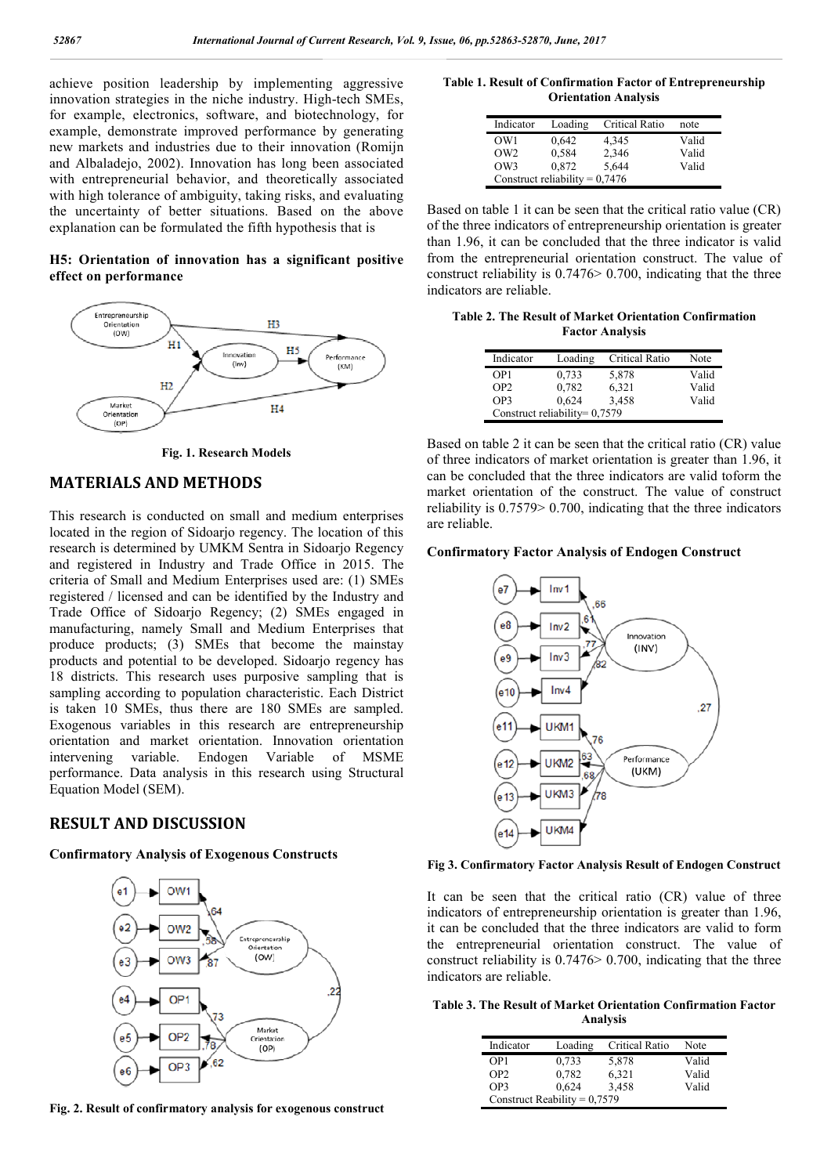achieve position leadership by implementing aggressive innovation strategies in the niche industry. High-tech SMEs, for example, electronics, software, and biotechnology, for example, demonstrate improved performance by generating new markets and industries due to their innovation (Romijn and Albaladejo, 2002). Innovation has long been associated with entrepreneurial behavior, and theoretically associated with high tolerance of ambiguity, taking risks, and evaluating the uncertainty of better situations. Based on the above explanation can be formulated the fifth hypothesis that is

#### **H5: Orientation of innovation has a significant positive effect on performance**



**Fig. 1. Research Models**

## **MATERIALS AND METHODS**

This research is conducted on small and medium enterprises located in the region of Sidoarjo regency. The location of this research is determined by UMKM Sentra in Sidoarjo Regency and registered in Industry and Trade Office in 2015. The criteria of Small and Medium Enterprises used are: (1) SMEs registered / licensed and can be identified by the Industry and Trade Office of Sidoarjo Regency; (2) SMEs engaged in manufacturing, namely Small and Medium Enterprises that produce products; (3) SMEs that become the mainstay products and potential to be developed. Sidoarjo regency has 18 districts. This research uses purposive sampling that is sampling according to population characteristic. Each District is taken 10 SMEs, thus there are 180 SMEs are sampled. Exogenous variables in this research are entrepreneurship orientation and market orientation. Innovation orientation intervening variable. Endogen Variable of MSME performance. Data analysis in this research using Structural Equation Model (SEM).

#### **RESULT AND DISCUSSION**

#### **Confirmatory Analysis of Exogenous Constructs**



**Fig. 2. Result of confirmatory analysis for exogenous construct**

**Table 1. Result of Confirmation Factor of Entrepreneurship Orientation Analysis**

| Indicator                        | Loading | Critical Ratio | note  |  |
|----------------------------------|---------|----------------|-------|--|
| OW <sub>1</sub>                  | 0,642   | 4,345          | Valid |  |
| OW2                              | 0,584   | 2,346          | Valid |  |
| OW3                              | 0,872   | 5,644          | Valid |  |
| Construct reliability = $0,7476$ |         |                |       |  |

Based on table 1 it can be seen that the critical ratio value (CR) of the three indicators of entrepreneurship orientation is greater than 1.96, it can be concluded that the three indicator is valid from the entrepreneurial orientation construct. The value of construct reliability is 0.7476> 0.700, indicating that the three indicators are reliable.

**Table 2. The Result of Market Orientation Confirmation Factor Analysis**

| Indicator       | Loading                         | Critical Ratio | Note  |
|-----------------|---------------------------------|----------------|-------|
| OP <sub>1</sub> | 0,733                           | 5,878          | Valid |
| OP2             | 0.782                           | 6,321          | Valid |
| OP3             | 0,624                           | 3,458          | Valid |
|                 | Construct reliability= $0,7579$ |                |       |

Based on table 2 it can be seen that the critical ratio (CR) value of three indicators of market orientation is greater than 1.96, it can be concluded that the three indicators are valid toform the market orientation of the construct. The value of construct reliability is 0.7579> 0.700, indicating that the three indicators are reliable.

#### **Confirmatory Factor Analysis of Endogen Construct**



**Fig 3. Confirmatory Factor Analysis Result of Endogen Construct**

It can be seen that the critical ratio (CR) value of three indicators of entrepreneurship orientation is greater than 1.96, it can be concluded that the three indicators are valid to form the entrepreneurial orientation construct. The value of construct reliability is 0.7476> 0.700, indicating that the three indicators are reliable.

**Table 3. The Result of Market Orientation Confirmation Factor Analysis**

| Indicator                      | Loading | Critical Ratio | Note  |  |  |
|--------------------------------|---------|----------------|-------|--|--|
| OP <sub>1</sub>                | 0,733   | 5,878          | Valid |  |  |
| OP <sub>2</sub>                | 0,782   | 6,321          | Valid |  |  |
| OP3                            | 0,624   | 3,458          | Valid |  |  |
| Construct Reability = $0,7579$ |         |                |       |  |  |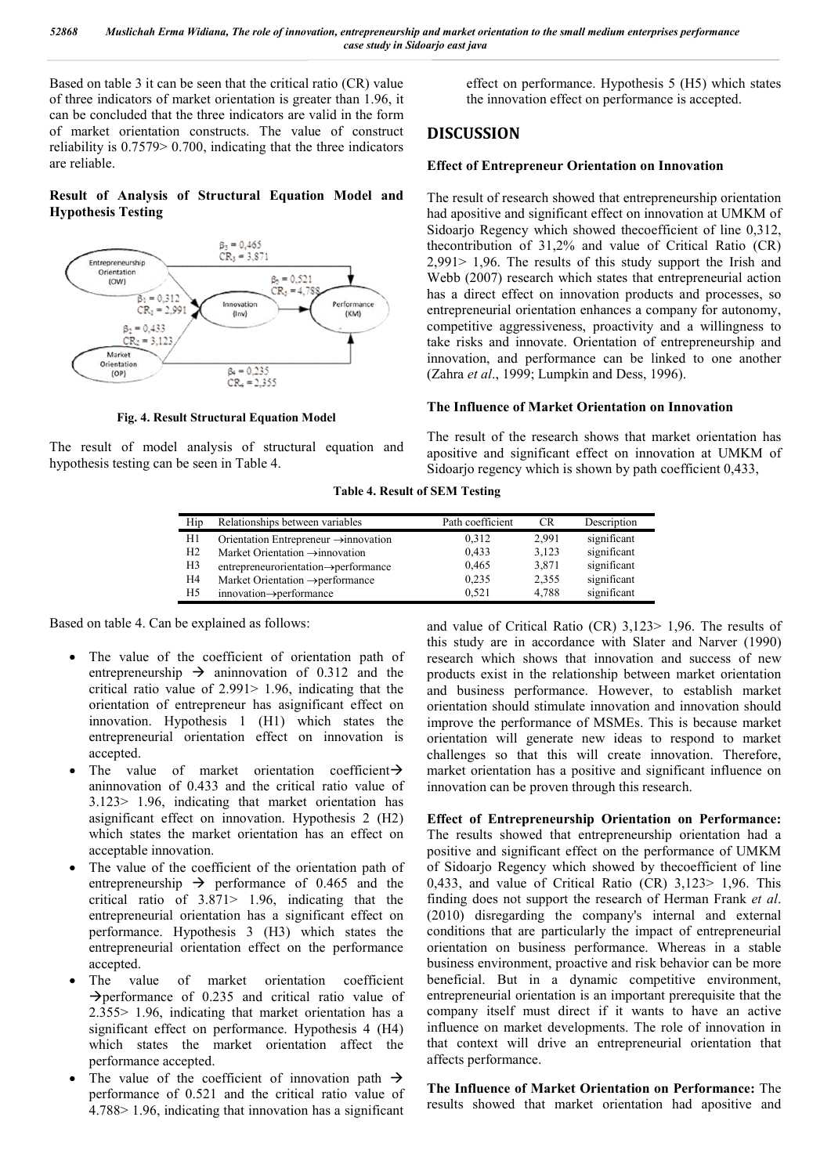Based on table 3 it can be seen that the critical ratio (CR) value of three indicators of market orientation is greater than 1.96, it can be concluded that the three indicators are valid in the form of market orientation constructs. The value of construct reliability is 0.7579> 0.700, indicating that the three indicators are reliable.

**Result of Analysis of Structural Equation Model and Hypothesis Testing**



**Fig. 4. Result Structural Equation Model**

The result of model analysis of structural equation and hypothesis testing can be seen in Table 4.

effect on performance. Hypothesis 5 (H5) which states the innovation effect on performance is accepted.

# **DISCUSSION**

#### **Effect of Entrepreneur Orientation on Innovation**

The result of research showed that entrepreneurship orientation had apositive and significant effect on innovation at UMKM of Sidoarjo Regency which showed thecoefficient of line 0,312, thecontribution of 31,2% and value of Critical Ratio (CR) 2,991> 1,96. The results of this study support the Irish and Webb (2007) research which states that entrepreneurial action has a direct effect on innovation products and processes, so entrepreneurial orientation enhances a company for autonomy, competitive aggressiveness, proactivity and a willingness to take risks and innovate. Orientation of entrepreneurship and innovation, and performance can be linked to one another (Zahra *et al*., 1999; Lumpkin and Dess, 1996).

#### **The Influence of Market Orientation on Innovation**

The result of the research shows that market orientation has apositive and significant effect on innovation at UMKM of Sidoarjo regency which is shown by path coefficient 0,433,

**Table 4. Result of SEM Testing**

| Hip            | Relationships between variables                   | Path coefficient | <b>CR</b> | Description |
|----------------|---------------------------------------------------|------------------|-----------|-------------|
| H1             | Orientation Entrepreneur $\rightarrow$ innovation | 0.312            | 2.991     | significant |
| H <sub>2</sub> | Market Orientation $\rightarrow$ innovation       | 0,433            | 3.123     | significant |
| H3             | entrepreneurorientation->performance              | 0,465            | 3,871     | significant |
| H4             | Market Orientation $\rightarrow$ performance      | 0.235            | 2.355     | significant |
| H5             | $innovation \rightarrow performance$              | 0.521            | 4.788     | significant |

Based on table 4. Can be explained as follows:

- The value of the coefficient of orientation path of entrepreneurship  $\rightarrow$  aninnovation of 0.312 and the critical ratio value of 2.991> 1.96, indicating that the orientation of entrepreneur has asignificant effect on innovation. Hypothesis 1 (H1) which states the entrepreneurial orientation effect on innovation is accepted.
- The value of market orientation coefficient $\rightarrow$ aninnovation of 0.433 and the critical ratio value of 3.123> 1.96, indicating that market orientation has asignificant effect on innovation. Hypothesis 2 (H2) which states the market orientation has an effect on acceptable innovation.
- The value of the coefficient of the orientation path of entrepreneurship  $\rightarrow$  performance of 0.465 and the critical ratio of 3.871> 1.96, indicating that the entrepreneurial orientation has a significant effect on performance. Hypothesis 3 (H3) which states the entrepreneurial orientation effect on the performance accepted.
- The value of market orientation coefficient  $\rightarrow$  performance of 0.235 and critical ratio value of 2.355> 1.96, indicating that market orientation has a significant effect on performance. Hypothesis 4 (H4) which states the market orientation affect the performance accepted.
- The value of the coefficient of innovation path  $\rightarrow$ performance of 0.521 and the critical ratio value of 4.788> 1.96, indicating that innovation has a significant

and value of Critical Ratio (CR) 3,123> 1,96. The results of this study are in accordance with Slater and Narver (1990) research which shows that innovation and success of new products exist in the relationship between market orientation and business performance. However, to establish market orientation should stimulate innovation and innovation should improve the performance of MSMEs. This is because market orientation will generate new ideas to respond to market challenges so that this will create innovation. Therefore, market orientation has a positive and significant influence on innovation can be proven through this research.

**Effect of Entrepreneurship Orientation on Performance:**  The results showed that entrepreneurship orientation had a positive and significant effect on the performance of UMKM of Sidoarjo Regency which showed by thecoefficient of line 0,433, and value of Critical Ratio (CR) 3,123> 1,96. This finding does not support the research of Herman Frank *et al*. (2010) disregarding the company's internal and external conditions that are particularly the impact of entrepreneurial orientation on business performance. Whereas in a stable business environment, proactive and risk behavior can be more beneficial. But in a dynamic competitive environment, entrepreneurial orientation is an important prerequisite that the company itself must direct if it wants to have an active influence on market developments. The role of innovation in that context will drive an entrepreneurial orientation that affects performance.

**The Influence of Market Orientation on Performance:** The results showed that market orientation had apositive and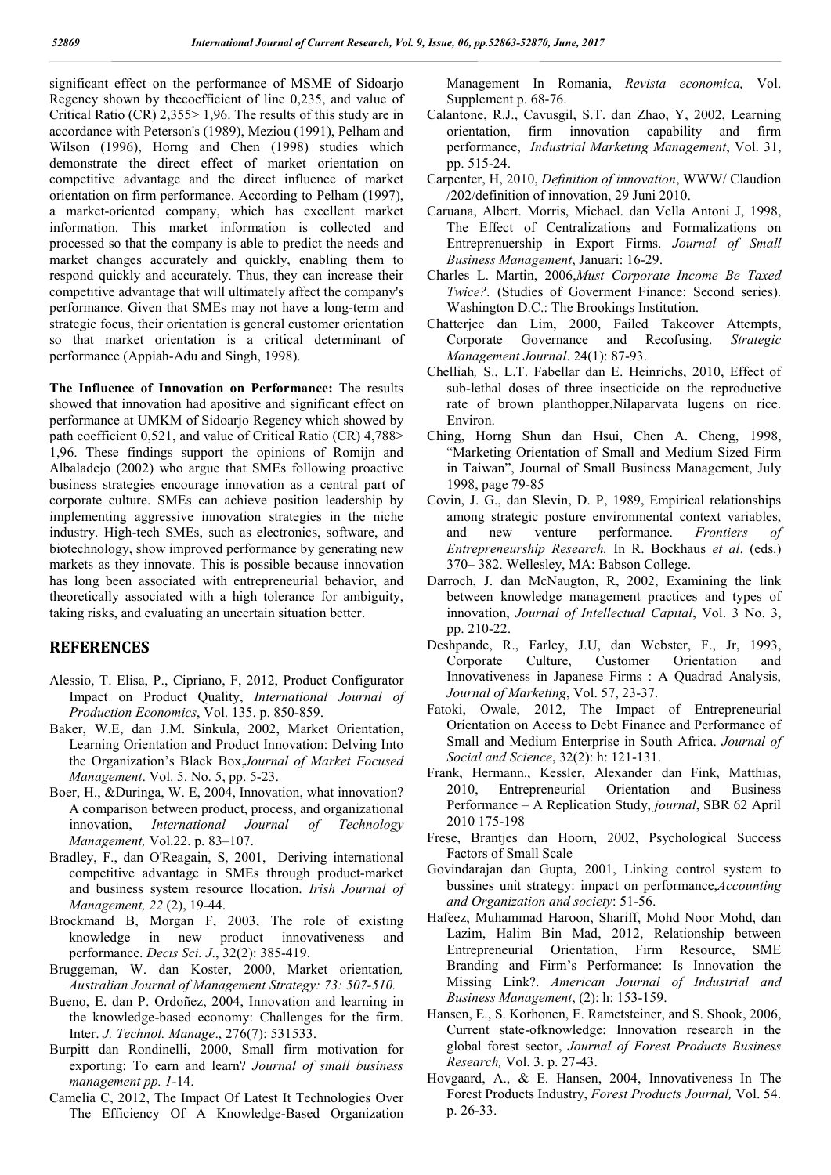significant effect on the performance of MSME of Sidoarjo Regency shown by thecoefficient of line 0,235, and value of Critical Ratio (CR) 2,355> 1,96. The results of this study are in accordance with Peterson's (1989), Meziou (1991), Pelham and Wilson (1996), Horng and Chen (1998) studies which demonstrate the direct effect of market orientation on competitive advantage and the direct influence of market orientation on firm performance. According to Pelham (1997), a market-oriented company, which has excellent market information. This market information is collected and processed so that the company is able to predict the needs and market changes accurately and quickly, enabling them to respond quickly and accurately. Thus, they can increase their competitive advantage that will ultimately affect the company's performance. Given that SMEs may not have a long-term and strategic focus, their orientation is general customer orientation so that market orientation is a critical determinant of performance (Appiah-Adu and Singh, 1998).

**The Influence of Innovation on Performance:** The results showed that innovation had apositive and significant effect on performance at UMKM of Sidoarjo Regency which showed by path coefficient 0,521, and value of Critical Ratio (CR) 4,788> 1,96. These findings support the opinions of Romijn and Albaladejo (2002) who argue that SMEs following proactive business strategies encourage innovation as a central part of corporate culture. SMEs can achieve position leadership by implementing aggressive innovation strategies in the niche industry. High-tech SMEs, such as electronics, software, and biotechnology, show improved performance by generating new markets as they innovate. This is possible because innovation has long been associated with entrepreneurial behavior, and theoretically associated with a high tolerance for ambiguity, taking risks, and evaluating an uncertain situation better.

# **REFERENCES**

- Alessio, T. Elisa, P., Cipriano, F, 2012, Product Configurator Impact on Product Quality, *International Journal of Production Economics*, Vol. 135. p. 850-859.
- Baker, W.E, dan J.M. Sinkula, 2002, Market Orientation, Learning Orientation and Product Innovation: Delving Into the Organization's Black Box,*Journal of Market Focused Management*. Vol. 5. No. 5, pp. 5-23.
- Boer, H., &Duringa, W. E, 2004, Innovation, what innovation? A comparison between product, process, and organizational innovation, *International Journal of Technology Management,* Vol.22. p. 83–107.
- Bradley, F., dan O'Reagain, S, 2001, Deriving international competitive advantage in SMEs through product-market and business system resource llocation. *Irish Journal of Management, 22* (2), 19-44.
- Brockmand B, Morgan F, 2003, The role of existing knowledge in new product innovativeness and performance. *Decis Sci. J*., 32(2): 385-419.
- Bruggeman, W. dan Koster, 2000, Market orientation*, Australian Journal of Management Strategy: 73: 507-510.*
- Bueno, E. dan P. Ordoñez, 2004, Innovation and learning in the knowledge-based economy: Challenges for the firm. Inter. *J. Technol. Manage*., 276(7): 531533.
- Burpitt dan Rondinelli, 2000, Small firm motivation for exporting: To earn and learn? *Journal of small business management pp. 1-*14.
- Camelia C, 2012, The Impact Of Latest It Technologies Over The Efficiency Of A Knowledge-Based Organization

Management In Romania, *Revista economica,* Vol. Supplement p. 68-76.

- Calantone, R.J., Cavusgil, S.T. dan Zhao, Y, 2002, Learning orientation, firm innovation capability and firm performance, *Industrial Marketing Management*, Vol. 31, pp. 515-24.
- Carpenter, H, 2010, *Definition of innovation*, WWW/ Claudion /202/definition of innovation, 29 Juni 2010.
- Caruana, Albert. Morris, Michael. dan Vella Antoni J, 1998, The Effect of Centralizations and Formalizations on Entreprenuership in Export Firms. *Journal of Small Business Management*, Januari: 16-29.
- Charles L. Martin, 2006,*Must Corporate Income Be Taxed Twice?.* (Studies of Goverment Finance: Second series). Washington D.C.: The Brookings Institution.
- Chatterjee dan Lim, 2000, Failed Takeover Attempts, Corporate Governance and Recofusing. *Strategic Management Journal*. 24(1): 87-93.
- Chelliah*,* S., L.T. Fabellar dan E. Heinrichs, 2010, Effect of sub-lethal doses of three insecticide on the reproductive rate of brown planthopper,Nilaparvata lugens on rice. Environ.
- Ching, Horng Shun dan Hsui, Chen A. Cheng, 1998, "Marketing Orientation of Small and Medium Sized Firm in Taiwan", Journal of Small Business Management, July 1998, page 79-85
- Covin, J. G., dan Slevin, D. P, 1989, Empirical relationships among strategic posture environmental context variables, and new venture performance. *Frontiers of Entrepreneurship Research.* In R. Bockhaus *et al*. (eds.) 370– 382. Wellesley, MA: Babson College.
- Darroch, J. dan McNaugton, R, 2002, Examining the link between knowledge management practices and types of innovation, *Journal of Intellectual Capital*, Vol. 3 No. 3, pp. 210-22.
- Deshpande, R., Farley, J.U, dan Webster, F., Jr, 1993, Corporate Culture, Customer Orientation and Innovativeness in Japanese Firms : A Quadrad Analysis, *Journal of Marketing*, Vol. 57, 23-37.
- Fatoki, Owale, 2012, The Impact of Entrepreneurial Orientation on Access to Debt Finance and Performance of Small and Medium Enterprise in South Africa. *Journal of Social and Science*, 32(2): h: 121-131.
- Frank, Hermann., Kessler, Alexander dan Fink, Matthias, 2010, Entrepreneurial Orientation and Business Performance – A Replication Study, *journal*, SBR 62 April 2010 175-198
- Frese, Brantjes dan Hoorn, 2002, Psychological Success Factors of Small Scale
- Govindarajan dan Gupta, 2001, Linking control system to bussines unit strategy: impact on performance,*Accounting and Organization and society*: 51-56.
- Hafeez, Muhammad Haroon, Shariff, Mohd Noor Mohd, dan Lazim, Halim Bin Mad, 2012, Relationship between Entrepreneurial Orientation, Firm Resource, SME Branding and Firm's Performance: Is Innovation the Missing Link?. *American Journal of Industrial and Business Management*, (2): h: 153-159.
- Hansen, E., S. Korhonen, E. Rametsteiner, and S. Shook, 2006, Current state-ofknowledge: Innovation research in the global forest sector, *Journal of Forest Products Business Research,* Vol. 3. p. 27-43.
- Hovgaard, A., & E. Hansen, 2004, Innovativeness In The Forest Products Industry, *Forest Products Journal,* Vol. 54. p. 26-33.